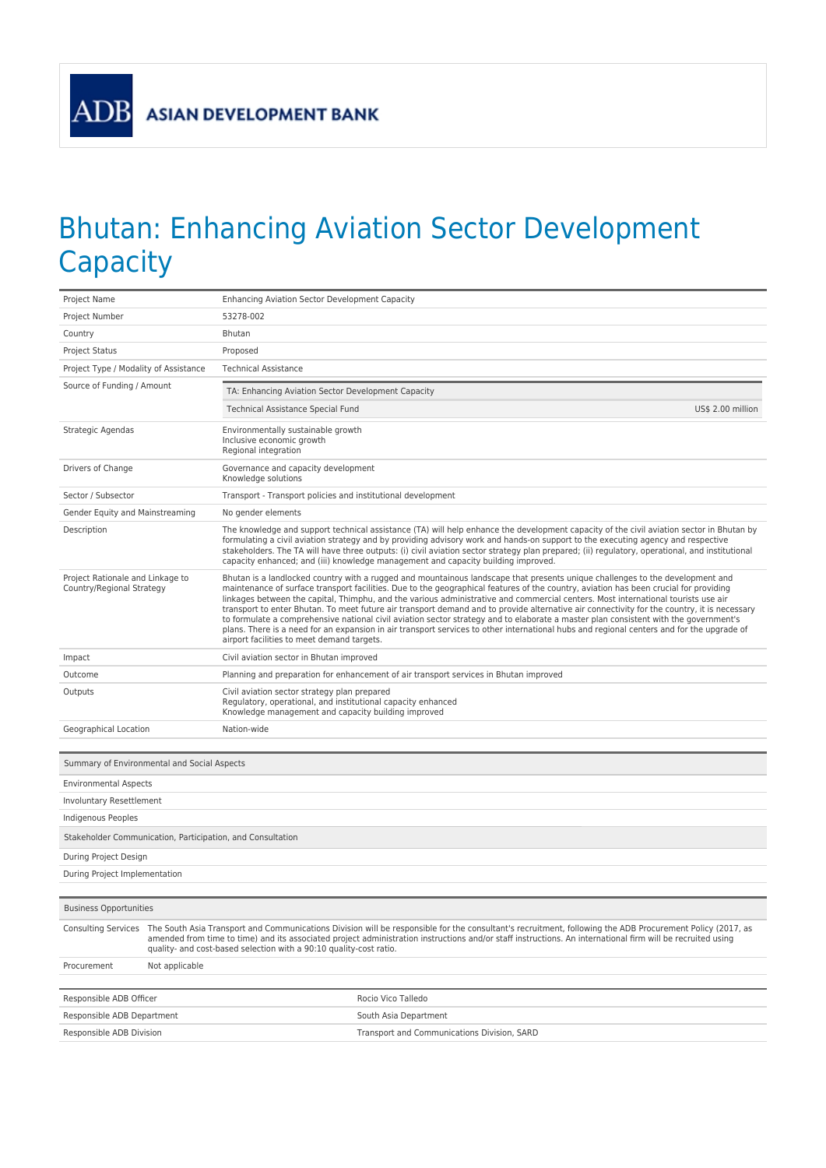**ADB** 

## Bhutan: Enhancing Aviation Sector Development **Capacity**

| Project Name                                                  |                                                                                                                                                                                                                                                                                                                                                                                                                   | <b>Enhancing Aviation Sector Development Capacity</b>                                                                                                               |                                                                                                                                                                                                                                                                                                                                                                                                                                                                                                                                                                                                                                                                                                                                                                                                                                                 |  |
|---------------------------------------------------------------|-------------------------------------------------------------------------------------------------------------------------------------------------------------------------------------------------------------------------------------------------------------------------------------------------------------------------------------------------------------------------------------------------------------------|---------------------------------------------------------------------------------------------------------------------------------------------------------------------|-------------------------------------------------------------------------------------------------------------------------------------------------------------------------------------------------------------------------------------------------------------------------------------------------------------------------------------------------------------------------------------------------------------------------------------------------------------------------------------------------------------------------------------------------------------------------------------------------------------------------------------------------------------------------------------------------------------------------------------------------------------------------------------------------------------------------------------------------|--|
| Project Number                                                |                                                                                                                                                                                                                                                                                                                                                                                                                   | 53278-002                                                                                                                                                           |                                                                                                                                                                                                                                                                                                                                                                                                                                                                                                                                                                                                                                                                                                                                                                                                                                                 |  |
| Country                                                       |                                                                                                                                                                                                                                                                                                                                                                                                                   | Bhutan                                                                                                                                                              |                                                                                                                                                                                                                                                                                                                                                                                                                                                                                                                                                                                                                                                                                                                                                                                                                                                 |  |
| <b>Project Status</b>                                         |                                                                                                                                                                                                                                                                                                                                                                                                                   | Proposed                                                                                                                                                            |                                                                                                                                                                                                                                                                                                                                                                                                                                                                                                                                                                                                                                                                                                                                                                                                                                                 |  |
| Project Type / Modality of Assistance                         |                                                                                                                                                                                                                                                                                                                                                                                                                   | <b>Technical Assistance</b>                                                                                                                                         |                                                                                                                                                                                                                                                                                                                                                                                                                                                                                                                                                                                                                                                                                                                                                                                                                                                 |  |
| Source of Funding / Amount                                    |                                                                                                                                                                                                                                                                                                                                                                                                                   | TA: Enhancing Aviation Sector Development Capacity                                                                                                                  |                                                                                                                                                                                                                                                                                                                                                                                                                                                                                                                                                                                                                                                                                                                                                                                                                                                 |  |
|                                                               |                                                                                                                                                                                                                                                                                                                                                                                                                   | Technical Assistance Special Fund                                                                                                                                   | US\$ 2.00 million                                                                                                                                                                                                                                                                                                                                                                                                                                                                                                                                                                                                                                                                                                                                                                                                                               |  |
| Strategic Agendas                                             |                                                                                                                                                                                                                                                                                                                                                                                                                   | Environmentally sustainable growth<br>Inclusive economic growth<br>Regional integration                                                                             |                                                                                                                                                                                                                                                                                                                                                                                                                                                                                                                                                                                                                                                                                                                                                                                                                                                 |  |
| Drivers of Change                                             |                                                                                                                                                                                                                                                                                                                                                                                                                   | Governance and capacity development<br>Knowledge solutions                                                                                                          |                                                                                                                                                                                                                                                                                                                                                                                                                                                                                                                                                                                                                                                                                                                                                                                                                                                 |  |
| Sector / Subsector                                            |                                                                                                                                                                                                                                                                                                                                                                                                                   | Transport - Transport policies and institutional development                                                                                                        |                                                                                                                                                                                                                                                                                                                                                                                                                                                                                                                                                                                                                                                                                                                                                                                                                                                 |  |
| Gender Equity and Mainstreaming                               |                                                                                                                                                                                                                                                                                                                                                                                                                   | No gender elements                                                                                                                                                  |                                                                                                                                                                                                                                                                                                                                                                                                                                                                                                                                                                                                                                                                                                                                                                                                                                                 |  |
| Description                                                   |                                                                                                                                                                                                                                                                                                                                                                                                                   |                                                                                                                                                                     | The knowledge and support technical assistance (TA) will help enhance the development capacity of the civil aviation sector in Bhutan by<br>formulating a civil aviation strategy and by providing advisory work and hands-on support to the executing agency and respective<br>stakeholders. The TA will have three outputs: (i) civil aviation sector strategy plan prepared; (ii) regulatory, operational, and institutional<br>capacity enhanced; and (iii) knowledge management and capacity building improved.                                                                                                                                                                                                                                                                                                                            |  |
| Project Rationale and Linkage to<br>Country/Regional Strategy |                                                                                                                                                                                                                                                                                                                                                                                                                   | airport facilities to meet demand targets.                                                                                                                          | Bhutan is a landlocked country with a rugged and mountainous landscape that presents unique challenges to the development and<br>maintenance of surface transport facilities. Due to the geographical features of the country, aviation has been crucial for providing<br>linkages between the capital, Thimphu, and the various administrative and commercial centers. Most international tourists use air<br>transport to enter Bhutan. To meet future air transport demand and to provide alternative air connectivity for the country, it is necessary<br>to formulate a comprehensive national civil aviation sector strategy and to elaborate a master plan consistent with the government's<br>plans. There is a need for an expansion in air transport services to other international hubs and regional centers and for the upgrade of |  |
| Impact                                                        |                                                                                                                                                                                                                                                                                                                                                                                                                   | Civil aviation sector in Bhutan improved                                                                                                                            |                                                                                                                                                                                                                                                                                                                                                                                                                                                                                                                                                                                                                                                                                                                                                                                                                                                 |  |
| Outcome                                                       |                                                                                                                                                                                                                                                                                                                                                                                                                   |                                                                                                                                                                     | Planning and preparation for enhancement of air transport services in Bhutan improved                                                                                                                                                                                                                                                                                                                                                                                                                                                                                                                                                                                                                                                                                                                                                           |  |
| Outputs                                                       |                                                                                                                                                                                                                                                                                                                                                                                                                   | Civil aviation sector strategy plan prepared<br>Regulatory, operational, and institutional capacity enhanced<br>Knowledge management and capacity building improved |                                                                                                                                                                                                                                                                                                                                                                                                                                                                                                                                                                                                                                                                                                                                                                                                                                                 |  |
| Geographical Location                                         |                                                                                                                                                                                                                                                                                                                                                                                                                   | Nation-wide                                                                                                                                                         |                                                                                                                                                                                                                                                                                                                                                                                                                                                                                                                                                                                                                                                                                                                                                                                                                                                 |  |
|                                                               |                                                                                                                                                                                                                                                                                                                                                                                                                   |                                                                                                                                                                     |                                                                                                                                                                                                                                                                                                                                                                                                                                                                                                                                                                                                                                                                                                                                                                                                                                                 |  |
| Summary of Environmental and Social Aspects                   |                                                                                                                                                                                                                                                                                                                                                                                                                   |                                                                                                                                                                     |                                                                                                                                                                                                                                                                                                                                                                                                                                                                                                                                                                                                                                                                                                                                                                                                                                                 |  |
| <b>Environmental Aspects</b>                                  |                                                                                                                                                                                                                                                                                                                                                                                                                   |                                                                                                                                                                     |                                                                                                                                                                                                                                                                                                                                                                                                                                                                                                                                                                                                                                                                                                                                                                                                                                                 |  |
| Involuntary Resettlement                                      |                                                                                                                                                                                                                                                                                                                                                                                                                   |                                                                                                                                                                     |                                                                                                                                                                                                                                                                                                                                                                                                                                                                                                                                                                                                                                                                                                                                                                                                                                                 |  |
| Indigenous Peoples                                            |                                                                                                                                                                                                                                                                                                                                                                                                                   |                                                                                                                                                                     |                                                                                                                                                                                                                                                                                                                                                                                                                                                                                                                                                                                                                                                                                                                                                                                                                                                 |  |
| Stakeholder Communication, Participation, and Consultation    |                                                                                                                                                                                                                                                                                                                                                                                                                   |                                                                                                                                                                     |                                                                                                                                                                                                                                                                                                                                                                                                                                                                                                                                                                                                                                                                                                                                                                                                                                                 |  |
| During Project Design                                         |                                                                                                                                                                                                                                                                                                                                                                                                                   |                                                                                                                                                                     |                                                                                                                                                                                                                                                                                                                                                                                                                                                                                                                                                                                                                                                                                                                                                                                                                                                 |  |
| During Project Implementation                                 |                                                                                                                                                                                                                                                                                                                                                                                                                   |                                                                                                                                                                     |                                                                                                                                                                                                                                                                                                                                                                                                                                                                                                                                                                                                                                                                                                                                                                                                                                                 |  |
|                                                               |                                                                                                                                                                                                                                                                                                                                                                                                                   |                                                                                                                                                                     |                                                                                                                                                                                                                                                                                                                                                                                                                                                                                                                                                                                                                                                                                                                                                                                                                                                 |  |
| <b>Business Opportunities</b>                                 |                                                                                                                                                                                                                                                                                                                                                                                                                   |                                                                                                                                                                     |                                                                                                                                                                                                                                                                                                                                                                                                                                                                                                                                                                                                                                                                                                                                                                                                                                                 |  |
|                                                               | Consulting Services The South Asia Transport and Communications Division will be responsible for the consultant's recruitment, following the ADB Procurement Policy (2017, as<br>amended from time to time) and its associated project administration instructions and/or staff instructions. An international firm will be recruited using<br>quality- and cost-based selection with a 90:10 quality-cost ratio. |                                                                                                                                                                     |                                                                                                                                                                                                                                                                                                                                                                                                                                                                                                                                                                                                                                                                                                                                                                                                                                                 |  |
| Procurement<br>Not applicable                                 |                                                                                                                                                                                                                                                                                                                                                                                                                   |                                                                                                                                                                     |                                                                                                                                                                                                                                                                                                                                                                                                                                                                                                                                                                                                                                                                                                                                                                                                                                                 |  |
|                                                               |                                                                                                                                                                                                                                                                                                                                                                                                                   |                                                                                                                                                                     |                                                                                                                                                                                                                                                                                                                                                                                                                                                                                                                                                                                                                                                                                                                                                                                                                                                 |  |
| Responsible ADB Officer<br>Rocio Vico Talledo                 |                                                                                                                                                                                                                                                                                                                                                                                                                   |                                                                                                                                                                     |                                                                                                                                                                                                                                                                                                                                                                                                                                                                                                                                                                                                                                                                                                                                                                                                                                                 |  |
| Responsible ADB Department                                    |                                                                                                                                                                                                                                                                                                                                                                                                                   |                                                                                                                                                                     | South Asia Department                                                                                                                                                                                                                                                                                                                                                                                                                                                                                                                                                                                                                                                                                                                                                                                                                           |  |
| Responsible ADB Division                                      |                                                                                                                                                                                                                                                                                                                                                                                                                   |                                                                                                                                                                     | Transport and Communications Division, SARD                                                                                                                                                                                                                                                                                                                                                                                                                                                                                                                                                                                                                                                                                                                                                                                                     |  |